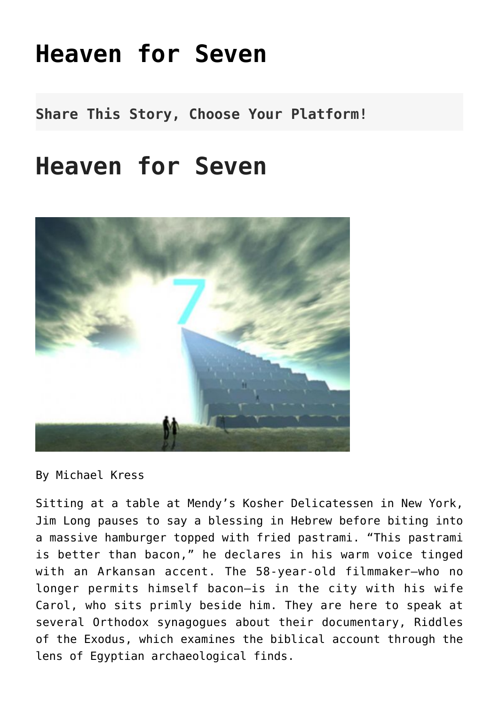## **[Heaven for Seven](http://noahide.org/heaven-for-seven/)**

**Share This Story, Choose Your Platform!**

## **Heaven for Seven**



By Michael Kress

Sitting at a table at Mendy's Kosher Delicatessen in New York, Jim Long pauses to say a blessing in Hebrew before biting into a massive hamburger topped with fried pastrami. "This pastrami is better than bacon," he declares in his warm voice tinged with an Arkansan accent. The 58-year-old filmmaker—who no longer permits himself bacon—is in the city with his wife Carol, who sits primly beside him. They are here to speak at several Orthodox synagogues about their documentary, Riddles of the Exodus, which examines the biblical account through the lens of Egyptian archaeological finds.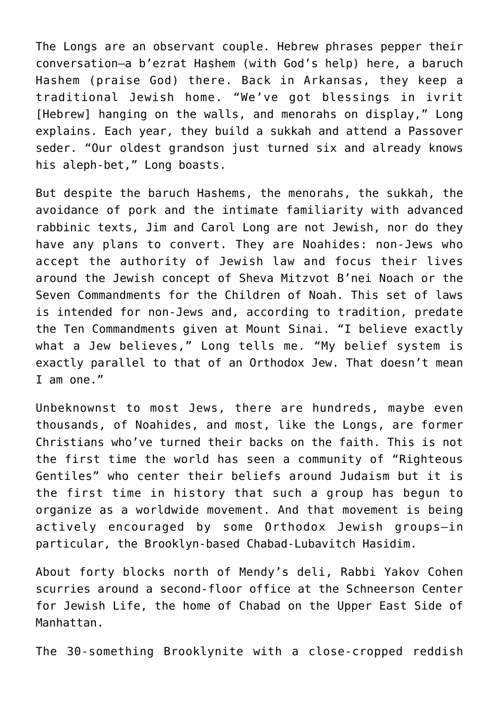The Longs are an observant couple. Hebrew phrases pepper their conversation—a b'ezrat Hashem (with God's help) here, a baruch Hashem (praise God) there. Back in Arkansas, they keep a traditional Jewish home. "We've got blessings in ivrit [Hebrew] hanging on the walls, and menorahs on display," Long explains. Each year, they build a sukkah and attend a Passover seder. "Our oldest grandson just turned six and already knows his aleph-bet," Long boasts.

But despite the baruch Hashems, the menorahs, the sukkah, the avoidance of pork and the intimate familiarity with advanced rabbinic texts, Jim and Carol Long are not Jewish, nor do they have any plans to convert. They are Noahides: non-Jews who accept the authority of Jewish law and focus their lives around the Jewish concept of Sheva Mitzvot B'nei Noach or the Seven Commandments for the Children of Noah. This set of laws is intended for non-Jews and, according to tradition, predate the Ten Commandments given at Mount Sinai. "I believe exactly what a Jew believes," Long tells me. "My belief system is exactly parallel to that of an Orthodox Jew. That doesn't mean I am one."

Unbeknownst to most Jews, there are hundreds, maybe even thousands, of Noahides, and most, like the Longs, are former Christians who've turned their backs on the faith. This is not the first time the world has seen a community of "Righteous Gentiles" who center their beliefs around Judaism but it is the first time in history that such a group has begun to organize as a worldwide movement. And that movement is being actively encouraged by some Orthodox Jewish groups—in particular, the Brooklyn-based Chabad-Lubavitch Hasidim.

About forty blocks north of Mendy's deli, Rabbi Yakov Cohen scurries around a second-floor office at the Schneerson Center for Jewish Life, the home of Chabad on the Upper East Side of Manhattan.

The 30-something Brooklynite with a close-cropped reddish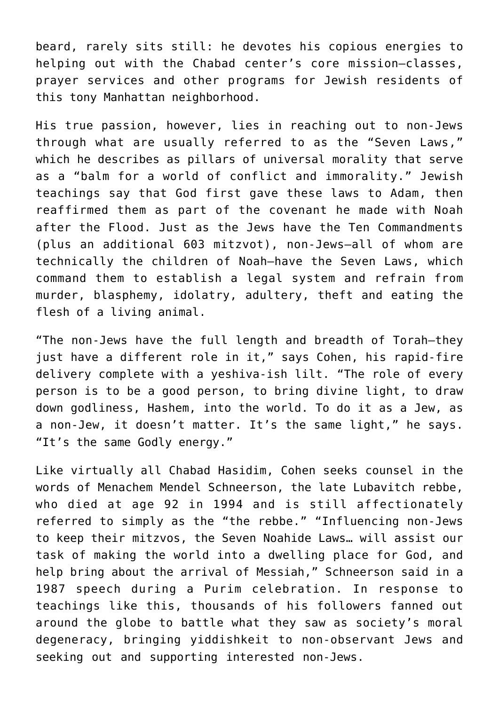beard, rarely sits still: he devotes his copious energies to helping out with the Chabad center's core mission—classes, prayer services and other programs for Jewish residents of this tony Manhattan neighborhood.

His true passion, however, lies in reaching out to non-Jews through what are usually referred to as the "Seven Laws," which he describes as pillars of universal morality that serve as a "balm for a world of conflict and immorality." Jewish teachings say that God first gave these laws to Adam, then reaffirmed them as part of the covenant he made with Noah after the Flood. Just as the Jews have the Ten Commandments (plus an additional 603 mitzvot), non-Jews—all of whom are technically the children of Noah—have the Seven Laws, which command them to establish a legal system and refrain from murder, blasphemy, idolatry, adultery, theft and eating the flesh of a living animal.

"The non-Jews have the full length and breadth of Torah—they just have a different role in it," says Cohen, his rapid-fire delivery complete with a yeshiva-ish lilt. "The role of every person is to be a good person, to bring divine light, to draw down godliness, Hashem, into the world. To do it as a Jew, as a non-Jew, it doesn't matter. It's the same light," he says. "It's the same Godly energy."

Like virtually all Chabad Hasidim, Cohen seeks counsel in the words of Menachem Mendel Schneerson, the late Lubavitch rebbe, who died at age 92 in 1994 and is still affectionately referred to simply as the "the rebbe." "Influencing non-Jews to keep their mitzvos, the Seven Noahide Laws… will assist our task of making the world into a dwelling place for God, and help bring about the arrival of Messiah," Schneerson said in a 1987 speech during a Purim celebration. In response to teachings like this, thousands of his followers fanned out around the globe to battle what they saw as society's moral degeneracy, bringing yiddishkeit to non-observant Jews and seeking out and supporting interested non-Jews.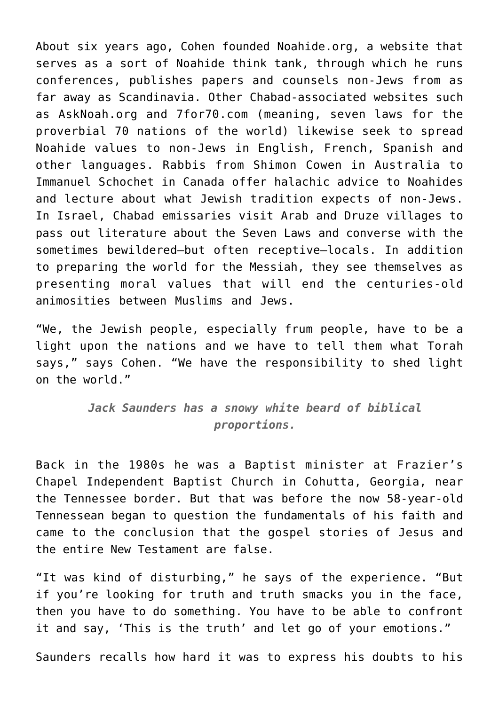About six years ago, Cohen founded Noahide.org, a website that serves as a sort of Noahide think tank, through which he runs conferences, publishes papers and counsels non-Jews from as far away as Scandinavia. Other Chabad-associated websites such as AskNoah.org and 7for70.com (meaning, seven laws for the proverbial 70 nations of the world) likewise seek to spread Noahide values to non-Jews in English, French, Spanish and other languages. Rabbis from Shimon Cowen in Australia to Immanuel Schochet in Canada offer halachic advice to Noahides and lecture about what Jewish tradition expects of non-Jews. In Israel, Chabad emissaries visit Arab and Druze villages to pass out literature about the Seven Laws and converse with the sometimes bewildered—but often receptive—locals. In addition to preparing the world for the Messiah, they see themselves as presenting moral values that will end the centuries-old animosities between Muslims and Jews.

"We, the Jewish people, especially frum people, have to be a light upon the nations and we have to tell them what Torah says," says Cohen. "We have the responsibility to shed light on the world."

> *Jack Saunders has a snowy white beard of biblical proportions.*

Back in the 1980s he was a Baptist minister at Frazier's Chapel Independent Baptist Church in Cohutta, Georgia, near the Tennessee border. But that was before the now 58-year-old Tennessean began to question the fundamentals of his faith and came to the conclusion that the gospel stories of Jesus and the entire New Testament are false.

"It was kind of disturbing," he says of the experience. "But if you're looking for truth and truth smacks you in the face, then you have to do something. You have to be able to confront it and say, 'This is the truth' and let go of your emotions."

Saunders recalls how hard it was to express his doubts to his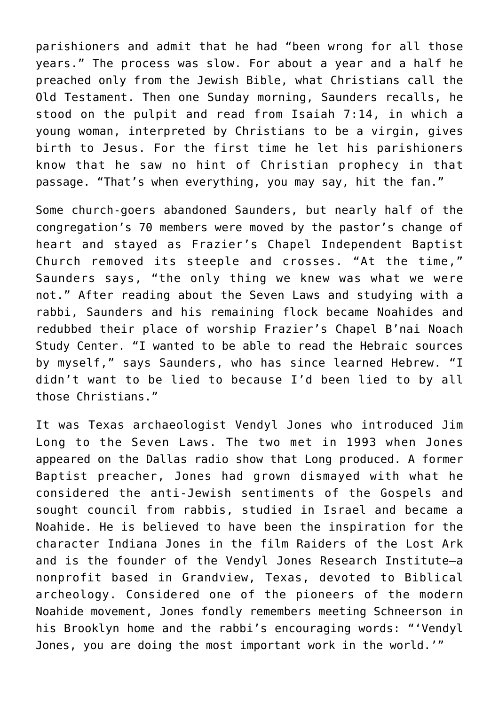parishioners and admit that he had "been wrong for all those years." The process was slow. For about a year and a half he preached only from the Jewish Bible, what Christians call the Old Testament. Then one Sunday morning, Saunders recalls, he stood on the pulpit and read from Isaiah 7:14, in which a young woman, interpreted by Christians to be a virgin, gives birth to Jesus. For the first time he let his parishioners know that he saw no hint of Christian prophecy in that passage. "That's when everything, you may say, hit the fan."

Some church-goers abandoned Saunders, but nearly half of the congregation's 70 members were moved by the pastor's change of heart and stayed as Frazier's Chapel Independent Baptist Church removed its steeple and crosses. "At the time," Saunders says, "the only thing we knew was what we were not." After reading about the Seven Laws and studying with a rabbi, Saunders and his remaining flock became Noahides and redubbed their place of worship Frazier's Chapel B'nai Noach Study Center. "I wanted to be able to read the Hebraic sources by myself," says Saunders, who has since learned Hebrew. "I didn't want to be lied to because I'd been lied to by all those Christians."

It was Texas archaeologist Vendyl Jones who introduced Jim Long to the Seven Laws. The two met in 1993 when Jones appeared on the Dallas radio show that Long produced. A former Baptist preacher, Jones had grown dismayed with what he considered the anti-Jewish sentiments of the Gospels and sought council from rabbis, studied in Israel and became a Noahide. He is believed to have been the inspiration for the character Indiana Jones in the film Raiders of the Lost Ark and is the founder of the Vendyl Jones Research Institute—a nonprofit based in Grandview, Texas, devoted to Biblical archeology. Considered one of the pioneers of the modern Noahide movement, Jones fondly remembers meeting Schneerson in his Brooklyn home and the rabbi's encouraging words: "'Vendyl Jones, you are doing the most important work in the world.'"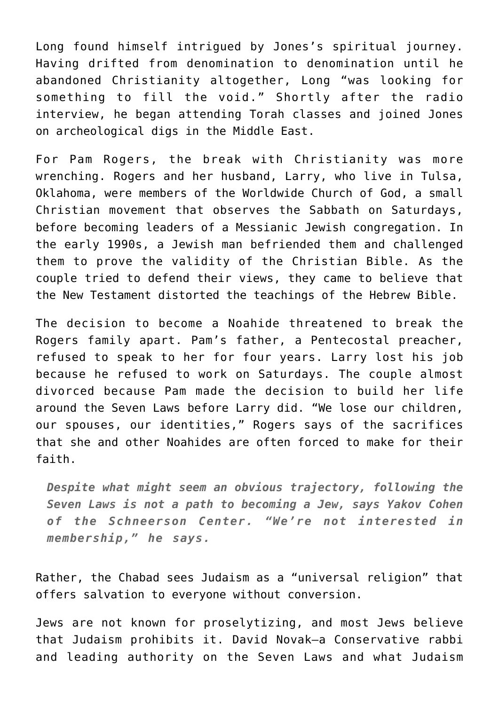Long found himself intrigued by Jones's spiritual journey. Having drifted from denomination to denomination until he abandoned Christianity altogether, Long "was looking for something to fill the void." Shortly after the radio interview, he began attending Torah classes and joined Jones on archeological digs in the Middle East.

For Pam Rogers, the break with Christianity was more wrenching. Rogers and her husband, Larry, who live in Tulsa, Oklahoma, were members of the Worldwide Church of God, a small Christian movement that observes the Sabbath on Saturdays, before becoming leaders of a Messianic Jewish congregation. In the early 1990s, a Jewish man befriended them and challenged them to prove the validity of the Christian Bible. As the couple tried to defend their views, they came to believe that the New Testament distorted the teachings of the Hebrew Bible.

The decision to become a Noahide threatened to break the Rogers family apart. Pam's father, a Pentecostal preacher, refused to speak to her for four years. Larry lost his job because he refused to work on Saturdays. The couple almost divorced because Pam made the decision to build her life around the Seven Laws before Larry did. "We lose our children, our spouses, our identities," Rogers says of the sacrifices that she and other Noahides are often forced to make for their faith.

*Despite what might seem an obvious trajectory, following the Seven Laws is not a path to becoming a Jew, says Yakov Cohen of the Schneerson Center. "We're not interested in membership," he says.*

Rather, the Chabad sees Judaism as a "universal religion" that offers salvation to everyone without conversion.

Jews are not known for proselytizing, and most Jews believe that Judaism prohibits it. David Novak—a Conservative rabbi and leading authority on the Seven Laws and what Judaism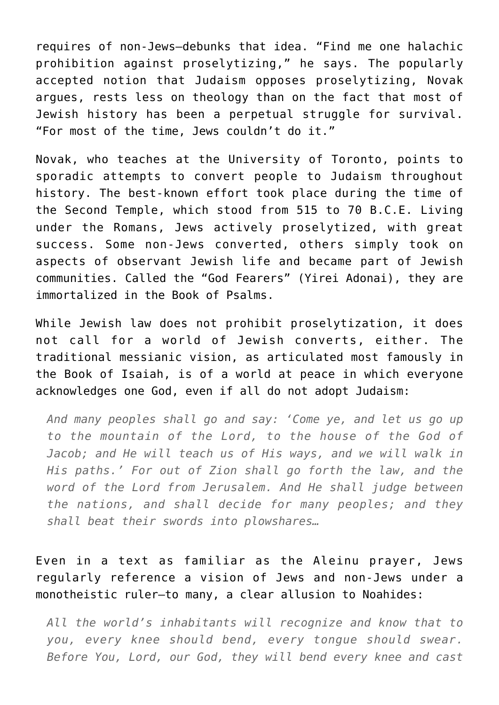requires of non-Jews—debunks that idea. "Find me one halachic prohibition against proselytizing," he says. The popularly accepted notion that Judaism opposes proselytizing, Novak argues, rests less on theology than on the fact that most of Jewish history has been a perpetual struggle for survival. "For most of the time, Jews couldn't do it."

Novak, who teaches at the University of Toronto, points to sporadic attempts to convert people to Judaism throughout history. The best-known effort took place during the time of the Second Temple, which stood from 515 to 70 B.C.E. Living under the Romans, Jews actively proselytized, with great success. Some non-Jews converted, others simply took on aspects of observant Jewish life and became part of Jewish communities. Called the "God Fearers" (Yirei Adonai), they are immortalized in the Book of Psalms.

While Jewish law does not prohibit proselytization, it does not call for a world of Jewish converts, either. The traditional messianic vision, as articulated most famously in the Book of Isaiah, is of a world at peace in which everyone acknowledges one God, even if all do not adopt Judaism:

*And many peoples shall go and say: 'Come ye, and let us go up to the mountain of the Lord, to the house of the God of Jacob; and He will teach us of His ways, and we will walk in His paths.' For out of Zion shall go forth the law, and the word of the Lord from Jerusalem. And He shall judge between the nations, and shall decide for many peoples; and they shall beat their swords into plowshares…*

Even in a text as familiar as the Aleinu prayer, Jews regularly reference a vision of Jews and non-Jews under a monotheistic ruler—to many, a clear allusion to Noahides:

*All the world's inhabitants will recognize and know that to you, every knee should bend, every tongue should swear. Before You, Lord, our God, they will bend every knee and cast*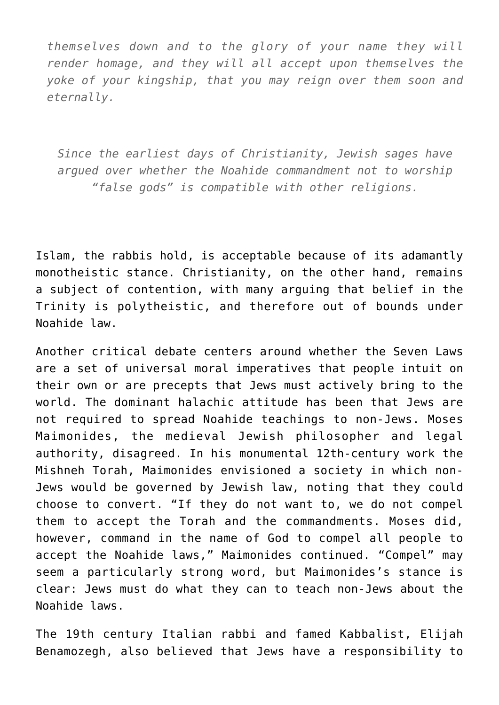*themselves down and to the glory of your name they will render homage, and they will all accept upon themselves the yoke of your kingship, that you may reign over them soon and eternally.*

*Since the earliest days of Christianity, Jewish sages have argued over whether the Noahide commandment not to worship "false gods" is compatible with other religions.*

Islam, the rabbis hold, is acceptable because of its adamantly monotheistic stance. Christianity, on the other hand, remains a subject of contention, with many arguing that belief in the Trinity is polytheistic, and therefore out of bounds under Noahide law.

Another critical debate centers around whether the Seven Laws are a set of universal moral imperatives that people intuit on their own or are precepts that Jews must actively bring to the world. The dominant halachic attitude has been that Jews are not required to spread Noahide teachings to non-Jews. Moses Maimonides, the medieval Jewish philosopher and legal authority, disagreed. In his monumental 12th-century work the Mishneh Torah, Maimonides envisioned a society in which non-Jews would be governed by Jewish law, noting that they could choose to convert. "If they do not want to, we do not compel them to accept the Torah and the commandments. Moses did, however, command in the name of God to compel all people to accept the Noahide laws," Maimonides continued. "Compel" may seem a particularly strong word, but Maimonides's stance is clear: Jews must do what they can to teach non-Jews about the Noahide laws.

The 19th century Italian rabbi and famed Kabbalist, Elijah Benamozegh, also believed that Jews have a responsibility to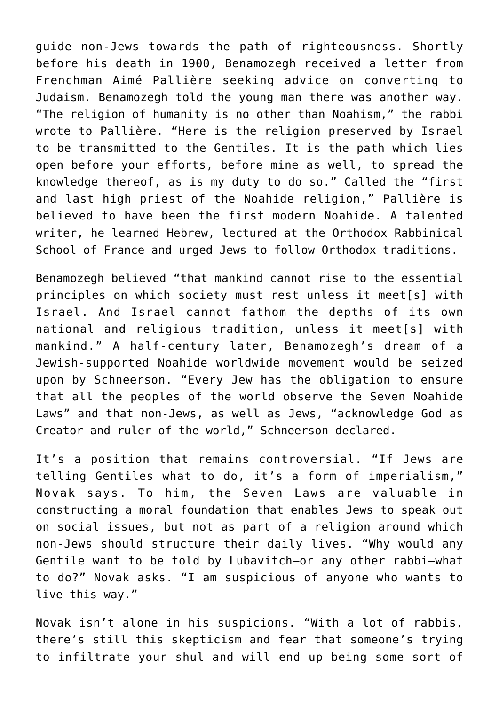guide non-Jews towards the path of righteousness. Shortly before his death in 1900, Benamozegh received a letter from Frenchman Aimé Pallière seeking advice on converting to Judaism. Benamozegh told the young man there was another way. "The religion of humanity is no other than Noahism," the rabbi wrote to Pallière. "Here is the religion preserved by Israel to be transmitted to the Gentiles. It is the path which lies open before your efforts, before mine as well, to spread the knowledge thereof, as is my duty to do so." Called the "first and last high priest of the Noahide religion," Pallière is believed to have been the first modern Noahide. A talented writer, he learned Hebrew, lectured at the Orthodox Rabbinical School of France and urged Jews to follow Orthodox traditions.

Benamozegh believed "that mankind cannot rise to the essential principles on which society must rest unless it meet[s] with Israel. And Israel cannot fathom the depths of its own national and religious tradition, unless it meet[s] with mankind." A half-century later, Benamozegh's dream of a Jewish-supported Noahide worldwide movement would be seized upon by Schneerson. "Every Jew has the obligation to ensure that all the peoples of the world observe the Seven Noahide Laws" and that non-Jews, as well as Jews, "acknowledge God as Creator and ruler of the world," Schneerson declared.

It's a position that remains controversial. "If Jews are telling Gentiles what to do, it's a form of imperialism," Novak says. To him, the Seven Laws are valuable in constructing a moral foundation that enables Jews to speak out on social issues, but not as part of a religion around which non-Jews should structure their daily lives. "Why would any Gentile want to be told by Lubavitch—or any other rabbi—what to do?" Novak asks. "I am suspicious of anyone who wants to live this way."

Novak isn't alone in his suspicions. "With a lot of rabbis, there's still this skepticism and fear that someone's trying to infiltrate your shul and will end up being some sort of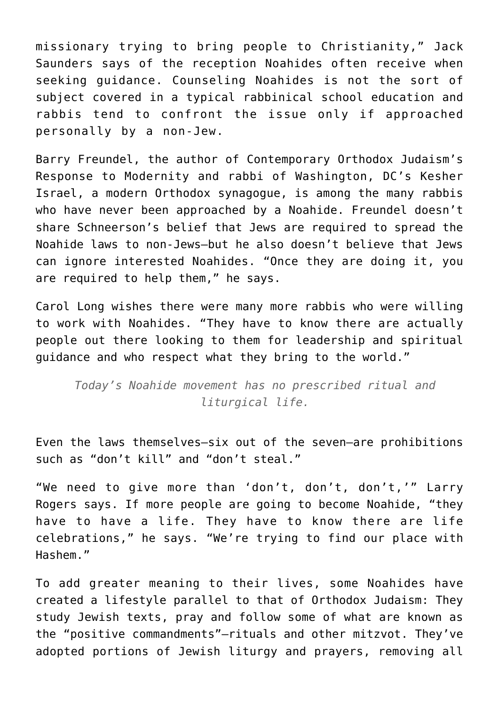missionary trying to bring people to Christianity," Jack Saunders says of the reception Noahides often receive when seeking guidance. Counseling Noahides is not the sort of subject covered in a typical rabbinical school education and rabbis tend to confront the issue only if approached personally by a non-Jew.

Barry Freundel, the author of Contemporary Orthodox Judaism's Response to Modernity and rabbi of Washington, DC's Kesher Israel, a modern Orthodox synagogue, is among the many rabbis who have never been approached by a Noahide. Freundel doesn't share Schneerson's belief that Jews are required to spread the Noahide laws to non-Jews—but he also doesn't believe that Jews can ignore interested Noahides. "Once they are doing it, you are required to help them," he says.

Carol Long wishes there were many more rabbis who were willing to work with Noahides. "They have to know there are actually people out there looking to them for leadership and spiritual guidance and who respect what they bring to the world."

*Today's Noahide movement has no prescribed ritual and liturgical life.*

Even the laws themselves—six out of the seven—are prohibitions such as "don't kill" and "don't steal."

"We need to give more than 'don't, don't, don't,'" Larry Rogers says. If more people are going to become Noahide, "they have to have a life. They have to know there are life celebrations," he says. "We're trying to find our place with Hashem."

To add greater meaning to their lives, some Noahides have created a lifestyle parallel to that of Orthodox Judaism: They study Jewish texts, pray and follow some of what are known as the "positive commandments"—rituals and other mitzvot. They've adopted portions of Jewish liturgy and prayers, removing all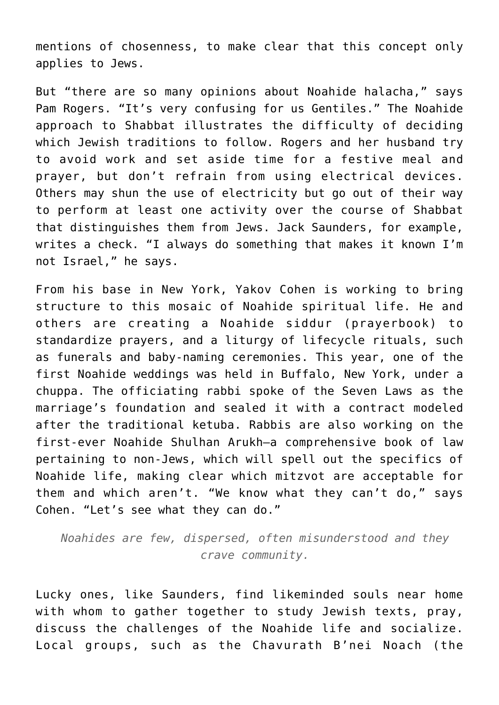mentions of chosenness, to make clear that this concept only applies to Jews.

But "there are so many opinions about Noahide halacha," says Pam Rogers. "It's very confusing for us Gentiles." The Noahide approach to Shabbat illustrates the difficulty of deciding which Jewish traditions to follow. Rogers and her husband try to avoid work and set aside time for a festive meal and prayer, but don't refrain from using electrical devices. Others may shun the use of electricity but go out of their way to perform at least one activity over the course of Shabbat that distinguishes them from Jews. Jack Saunders, for example, writes a check. "I always do something that makes it known I'm not Israel," he says.

From his base in New York, Yakov Cohen is working to bring structure to this mosaic of Noahide spiritual life. He and others are creating a Noahide siddur (prayerbook) to standardize prayers, and a liturgy of lifecycle rituals, such as funerals and baby-naming ceremonies. This year, one of the first Noahide weddings was held in Buffalo, New York, under a chuppa. The officiating rabbi spoke of the Seven Laws as the marriage's foundation and sealed it with a contract modeled after the traditional ketuba. Rabbis are also working on the first-ever Noahide Shulhan Arukh—a comprehensive book of law pertaining to non-Jews, which will spell out the specifics of Noahide life, making clear which mitzvot are acceptable for them and which aren't. "We know what they can't do," says Cohen. "Let's see what they can do."

*Noahides are few, dispersed, often misunderstood and they crave community.*

Lucky ones, like Saunders, find likeminded souls near home with whom to gather together to study Jewish texts, pray, discuss the challenges of the Noahide life and socialize. Local groups, such as the Chavurath B'nei Noach (the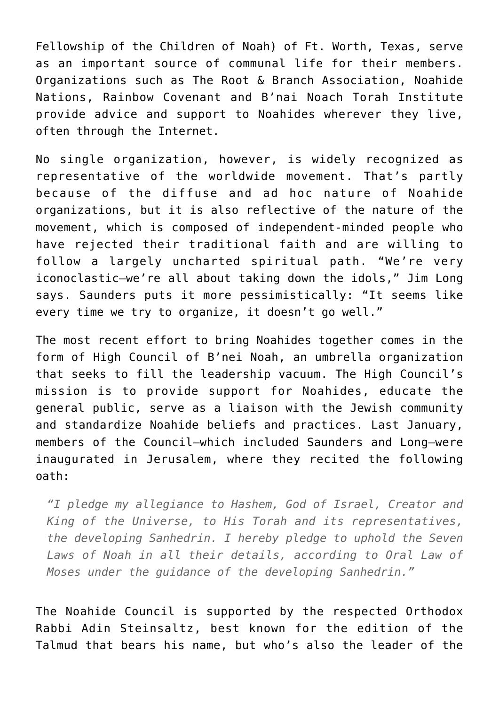Fellowship of the Children of Noah) of Ft. Worth, Texas, serve as an important source of communal life for their members. Organizations such as The Root & Branch Association, Noahide Nations, Rainbow Covenant and B'nai Noach Torah Institute provide advice and support to Noahides wherever they live, often through the Internet.

No single organization, however, is widely recognized as representative of the worldwide movement. That's partly because of the diffuse and ad hoc nature of Noahide organizations, but it is also reflective of the nature of the movement, which is composed of independent-minded people who have rejected their traditional faith and are willing to follow a largely uncharted spiritual path. "We're very iconoclastic—we're all about taking down the idols," Jim Long says. Saunders puts it more pessimistically: "It seems like every time we try to organize, it doesn't go well."

The most recent effort to bring Noahides together comes in the form of High Council of B'nei Noah, an umbrella organization that seeks to fill the leadership vacuum. The High Council's mission is to provide support for Noahides, educate the general public, serve as a liaison with the Jewish community and standardize Noahide beliefs and practices. Last January, members of the Council—which included Saunders and Long—were inaugurated in Jerusalem, where they recited the following oath:

*"I pledge my allegiance to Hashem, God of Israel, Creator and King of the Universe, to His Torah and its representatives, the developing Sanhedrin. I hereby pledge to uphold the Seven Laws of Noah in all their details, according to Oral Law of Moses under the guidance of the developing Sanhedrin."*

The Noahide Council is supported by the respected Orthodox Rabbi Adin Steinsaltz, best known for the edition of the Talmud that bears his name, but who's also the leader of the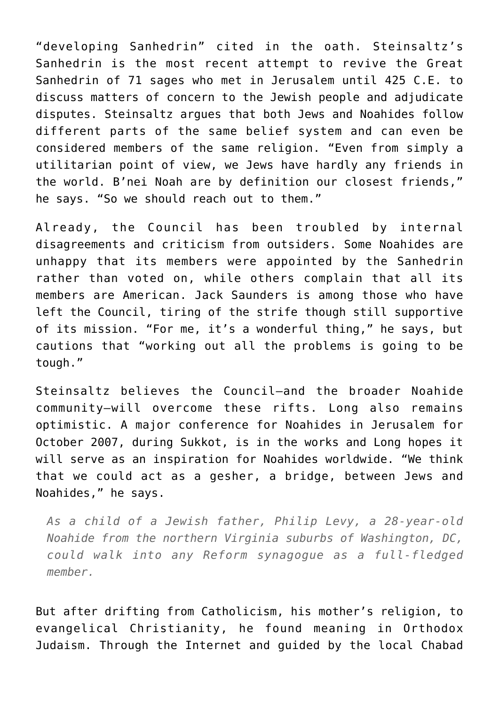"developing Sanhedrin" cited in the oath. Steinsaltz's Sanhedrin is the most recent attempt to revive the Great Sanhedrin of 71 sages who met in Jerusalem until 425 C.E. to discuss matters of concern to the Jewish people and adjudicate disputes. Steinsaltz argues that both Jews and Noahides follow different parts of the same belief system and can even be considered members of the same religion. "Even from simply a utilitarian point of view, we Jews have hardly any friends in the world. B'nei Noah are by definition our closest friends," he says. "So we should reach out to them."

Already, the Council has been troubled by internal disagreements and criticism from outsiders. Some Noahides are unhappy that its members were appointed by the Sanhedrin rather than voted on, while others complain that all its members are American. Jack Saunders is among those who have left the Council, tiring of the strife though still supportive of its mission. "For me, it's a wonderful thing," he says, but cautions that "working out all the problems is going to be tough."

Steinsaltz believes the Council—and the broader Noahide community—will overcome these rifts. Long also remains optimistic. A major conference for Noahides in Jerusalem for October 2007, during Sukkot, is in the works and Long hopes it will serve as an inspiration for Noahides worldwide. "We think that we could act as a gesher, a bridge, between Jews and Noahides," he says.

*As a child of a Jewish father, Philip Levy, a 28-year-old Noahide from the northern Virginia suburbs of Washington, DC, could walk into any Reform synagogue as a full-fledged member.*

But after drifting from Catholicism, his mother's religion, to evangelical Christianity, he found meaning in Orthodox Judaism. Through the Internet and guided by the local Chabad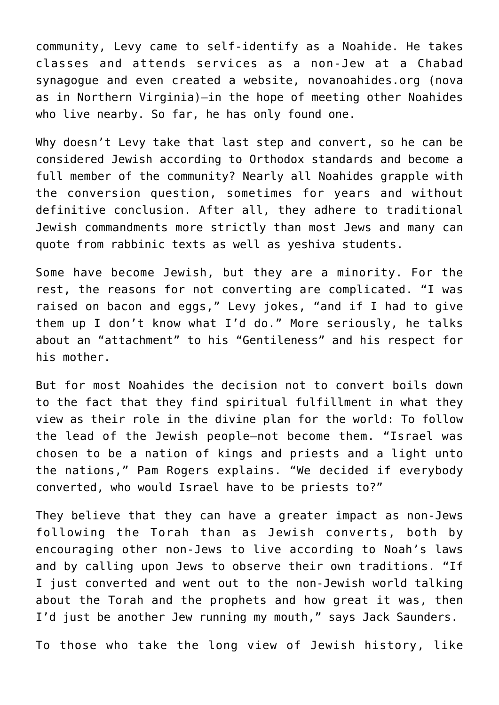community, Levy came to self-identify as a Noahide. He takes classes and attends services as a non-Jew at a Chabad synagogue and even created a website, novanoahides.org (nova as in Northern Virginia)—in the hope of meeting other Noahides who live nearby. So far, he has only found one.

Why doesn't Levy take that last step and convert, so he can be considered Jewish according to Orthodox standards and become a full member of the community? Nearly all Noahides grapple with the conversion question, sometimes for years and without definitive conclusion. After all, they adhere to traditional Jewish commandments more strictly than most Jews and many can quote from rabbinic texts as well as yeshiva students.

Some have become Jewish, but they are a minority. For the rest, the reasons for not converting are complicated. "I was raised on bacon and eggs," Levy jokes, "and if I had to give them up I don't know what I'd do." More seriously, he talks about an "attachment" to his "Gentileness" and his respect for his mother.

But for most Noahides the decision not to convert boils down to the fact that they find spiritual fulfillment in what they view as their role in the divine plan for the world: To follow the lead of the Jewish people—not become them. "Israel was chosen to be a nation of kings and priests and a light unto the nations," Pam Rogers explains. "We decided if everybody converted, who would Israel have to be priests to?"

They believe that they can have a greater impact as non-Jews following the Torah than as Jewish converts, both by encouraging other non-Jews to live according to Noah's laws and by calling upon Jews to observe their own traditions. "If I just converted and went out to the non-Jewish world talking about the Torah and the prophets and how great it was, then I'd just be another Jew running my mouth," says Jack Saunders.

To those who take the long view of Jewish history, like